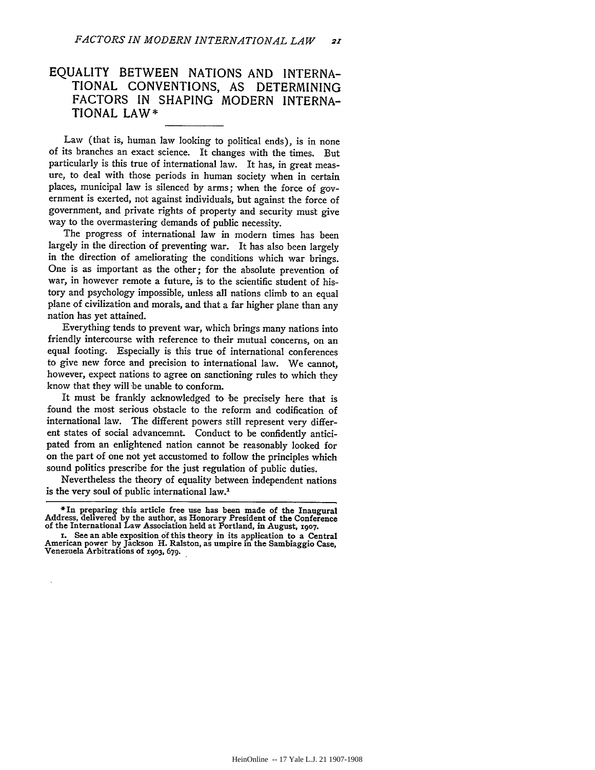## **EQUALITY BETWEEN NATIONS AND INTERNA-TIONAL CONVENTIONS, AS DETERMINING** FACTORS **IN SHAPING** MODERN **INTERNA-TIONAL** LAW\*

Law (that is, human law looking to political ends), is in none of its branches an exact science. It changes with the times. But particularly is this true of international law. It has, in great measure, to deal with those periods in human society when in certain places, municipal law is silenced by arms; when the force of government is exerted, not against individuals, but against the force of government, and private rights of property and security must give way to the overmastering demands of public necessity.

The progress of international law in modern times has been largely in the direction of preventing war. It has also been largely in the direction of ameliorating the conditions which war brings. One is as important as the other; for the absolute prevention of war, in however remote a future, is to the scientific student of history and psychology impossible, unless all nations climb to an equal plane of civilization and morals, and that a far higher plane than any nation has yet attained.

Everything tends to prevent war, which brings many nations into friendly intercourse with reference to their mutual concerns, on an equal footing. Especially is this true of international conferences to give new force and precision to international law. We cannot, however, expect nations to agree on sanctioning rules to which they know that they will 'be unable to conform.

It must be frankly acknowledged to be precisely here that is found the most serious obstacle to the reform and codification of international law. The different powers still represent very different states of social advancemnt. Conduct to be confidently anticipated from an enlightened nation cannot be reasonably looked for on the part of one not yet accustomed to follow the principles which sound politics prescribe for the just regulation of public duties.

Nevertheless the theory of equality between independent nations is the very soul of public international law.'

**<sup>\*</sup>In** preparing this article free use has been made of the Inaugural Address, delivered **by** the author, as Honorary President of the Conference of the International *Law* Association held at Portland, in August, **1907.**

**x.** See an able exposition **of** this theory in its application to a Central American power **by** Jackson H. Ralston, as umpire in the Sambiaggio Case, Venezuela Arbitrations of **19o3, 679.**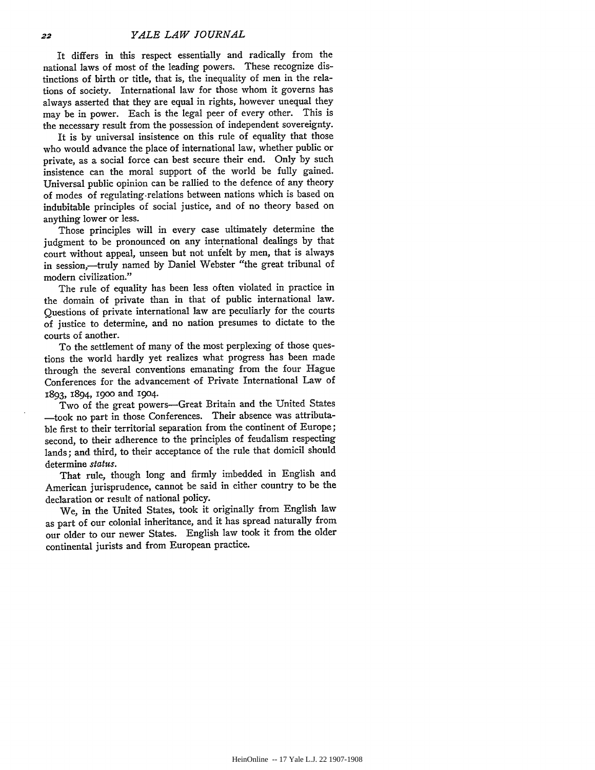It differs in this respect essentially and radically from the national laws of most of the leading powers. These recognize distinctions of birth or title, that is, the inequality of men in the relations of society. International law for those whom it governs has always asserted that they are equal in rights, however unequal they may be in power. Each is the legal peer of every other. This is the necessary result from the possession of independent sovereignty.

It is **by** universal insistence on this rule of equality that those who would advance the place of international law, whether public or private, as a social force can best secure their end. Only **by** such insistence can the moral support of the world be fully gained. Universal public opinion can be rallied to the defence of any theory of modes of regulating.relations between nations which is based on indubitable principles of social justice, and of no theory based on anything lower or less.

Those principles will in every case ultimately determine the judgment to be pronounced on any international dealings **by** that court without appeal, unseen but not unfelt by men, that is always in session,---truly named by Daniel Webster "the great tribunal of modem civilization."

The rule of equality has been less often violated in practice in the domain of private than in that of public international law. Questions of private international law are peculiarly for the courts of justice to determine, and no nation presumes to dictate to the courts of another.

To the settlement of many of the most perplexing of those questions the world hardly yet realizes what progress has been made through the several conventions emanating from the four Hague Conferences for the advancement of Private International Law of **1893,** 1894, **19oo** and **19o4.**

Two of the great powers-Great Britain and the United States -took no part in those Conferences. Their absence was attributable first to their territorial separation from the continent of Europe; second, to their adherence to the principles of feudalism respecting lands; and third, to their acceptance of the rule that domicil should determine status.

That rule, though long and firmly imbedded in English and American jurisprudence, cannot be said in either country to be the declaration or result of national policy.

We, in the United States, took it originally from English law as part of our colonial inheritance, and it has spread naturally from our older to our newer States. English law took it from the older continental jurists and from European practice.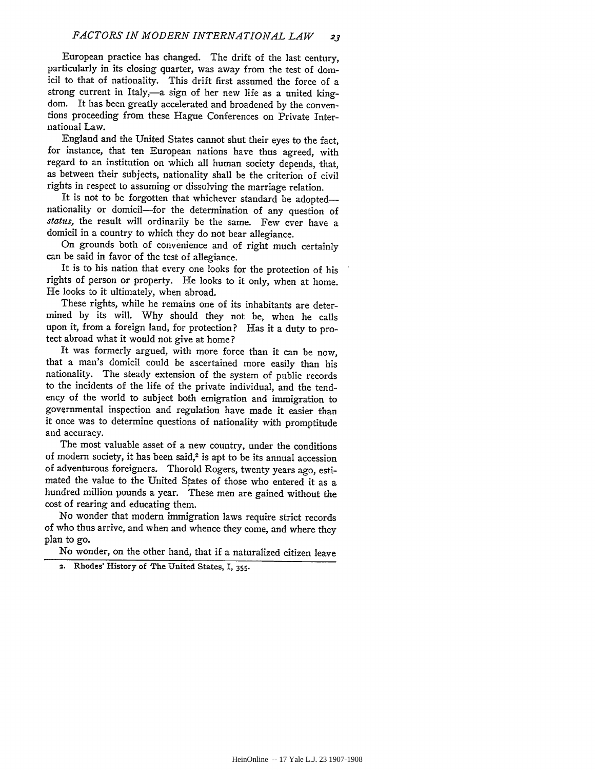European practice has changed. The drift of the last century, particularly in its closing quarter, was away from the test of domicil to that of nationality. This drift first assumed the force of a strong current in Italy,-a sign of her new life as a united kingdom. It has been greatly accelerated and broadened by the conventions proceeding from these Hague Conferences on Private International Law.

England and the United States cannot shut their eyes to the fact, for instance, that ten European nations have thus agreed, with regard to an institution on which all human society depends, that, as between their subjects, nationality shall be the criterion of civil rights in respect to assuming or dissolving the marriage relation.

It is not to be forgotten that whichever standard be adoptednationality or domicil-for the determination of any question of status, the result will ordinarily be the same. Few ever have a domicil in a country to which they do not bear allegiance.

On grounds both of convenience and of right much certainly can be said in favor of the test of allegiance.

It is to his nation that every one looks for the protection of his rights of person or property. He looks to it only, when at home. He looks to it ultimately, when abroad.

These rights, while he remains one of its inhabitants are determined by its will. Why should they not be, when he calls upon it, from a foreign land, for protection? Has it a duty to protect abroad what it would not give at home?

It was formerly argued, with more force than it can be now, that a man's domicil could be ascertained more easily than his nationality. The steady extension of the system of public records to the incidents of the life of the private individual, and the tendency of the world to subject both emigration and immigration to governmental inspection and regulation have made it easier than it once was to determine questions of nationality with promptitude and accuracy.

The most valuable asset of a new country, under the conditions of modern society, it has been said,<sup>2</sup> is apt to be its annual accession of adventurous foreigners. Thorold Rogers, twenty years ago, estimated the value to the United States of those who entered it as a hundred million pounds a year. These men are gained without the cost of rearing and educating them.

No wonder that modern immigration laws require strict records of who thus arrive, and when and whence they come, and where they plan to go.

No wonder, on the other hand, that if a naturalized citizen leave

**<sup>2.</sup>** Rhodes' History of The United States, **I, 355.**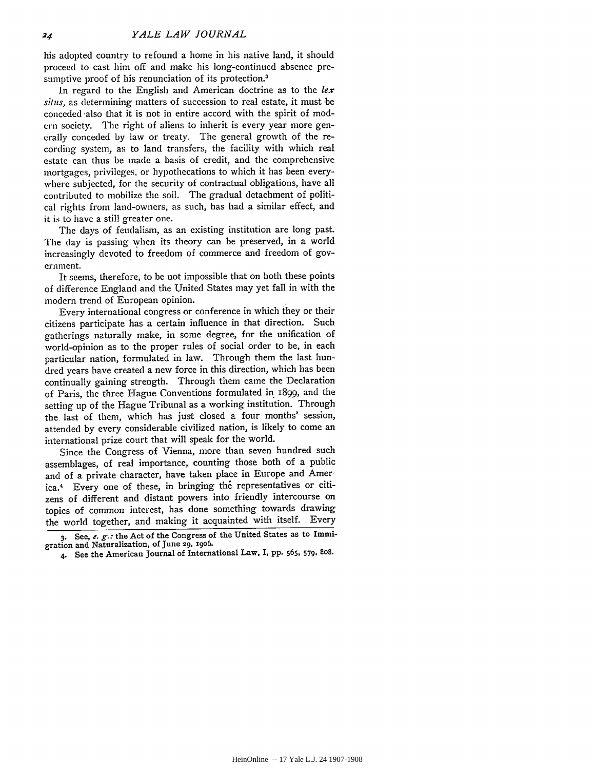his adopted country to refound a home in his native land, it should proceed to cast him off and make his long-continued absence presumptive proof of his renunciation of its protection.<sup>3</sup>

In regard to the English and American doctrine as to the *lex silus,* as determining matters of succession to real estate, it must be conceded -also that it is not in entire accord with the spirit of modern society. The right of aliens to inherit is every year more generally conceded by law or treaty. The general growth of the recording system, as to land transfers, the facility with which real estate can thus be made a basis of credit, and the comprehensive mortgages, privileges, or hypothecations to which it has been everywhere subjected, for the security of contractual obligations, have all contributed to mobilize the soil. The gradual detachment of political rights from land-owners, as such, has had a similar effect, and it is to have a still greater one.

The days of feudalism, as an existing institution are long past. The day is passing when its theory can be preserved, in a world increasingly devoted to freedom of commerce and freedom of government.

It seems, therefore, to be not impossible that on both these points of difference England and the United States may yet fall in with the modern trend of European opinion.

Every international congress or conference in which they or their citizens participate has a certain influence in that direction. Such gatherings naturally make, in some degree, for the unification of world-opinion as to the proper rules of social order to be, in each particular nation, formulated in law. Through them the last hundred years have created a new force in this direction, which has been continually gaining strength. Through them came the Declaration of Paris, the three Hague Conventions formulated in 1899, and the setting up of the Hague Tribunal as a working institution. Through the last of them, which has just closed a four months' session, attended by every considerable civilized nation, is likely to come an international prize court that will speak for the world.

Since the Congress of Vienna, more than seven hundred such assemblages, of real importance, counting those both of a public and of a private character, have taken place in Europe and America.<sup>4</sup> Every one of these, in bringing the representatives or citizens of different and distant powers into friendly intercourse on topics of common interest, has done something towards drawing the world together, and making it acquainted with itself. Every

**<sup>3.</sup>** See, *e. g.:* the Act of the Congress of the United **States** as to Immigration and Naturalization, of June **29,** 19o6.

<sup>4.</sup> See the American Journal of International Law, I, pp. **565, 579, 8o8.**